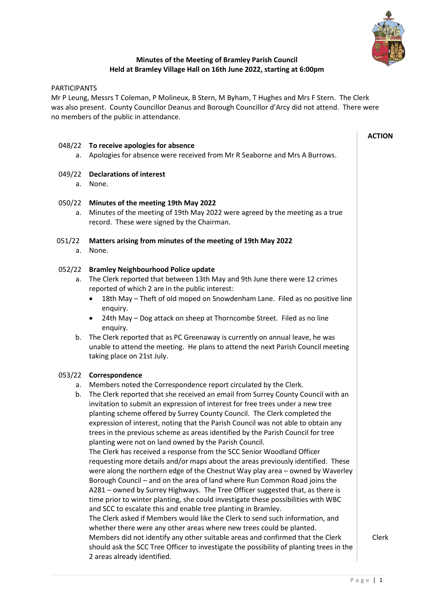

**ACTION**

# **Minutes of the Meeting of Bramley Parish Council Held at Bramley Village Hall on 16th June 2022, starting at 6:00pm**

## PARTICIPANTS

Mr P Leung, Messrs T Coleman, P Molineux, B Stern, M Byham, T Hughes and Mrs F Stern. The Clerk was also present. County Councillor Deanus and Borough Councillor d'Arcy did not attend. There were no members of the public in attendance.

### 048/22 **To receive apologies for absence**

a. Apologies for absence were received from Mr R Seaborne and Mrs A Burrows.

### 049/22 **Declarations of interest**

a. None.

### 050/22 **Minutes of the meeting 19th May 2022**

a. Minutes of the meeting of 19th May 2022 were agreed by the meeting as a true record. These were signed by the Chairman.

### 051/22 **Matters arising from minutes of the meeting of 19th May 2022**

a. None.

### 052/22 **Bramley Neighbourhood Police update**

- a. The Clerk reported that between 13th May and 9th June there were 12 crimes reported of which 2 are in the public interest:
	- 18th May Theft of old moped on Snowdenham Lane. Filed as no positive line enquiry.
	- 24th May Dog attack on sheep at Thorncombe Street. Filed as no line enquiry.
- b. The Clerk reported that as PC Greenaway is currently on annual leave, he was unable to attend the meeting. He plans to attend the next Parish Council meeting taking place on 21st July.

#### 053/22 **Correspondence**

- a. Members noted the Correspondence report circulated by the Clerk.
- b. The Clerk reported that she received an email from Surrey County Council with an invitation to submit an expression of interest for free trees under a new tree planting scheme offered by Surrey County Council. The Clerk completed the expression of interest, noting that the Parish Council was not able to obtain any trees in the previous scheme as areas identified by the Parish Council for tree planting were not on land owned by the Parish Council. The Clerk has received a response from the SCC Senior Woodland Officer requesting more details and/or maps about the areas previously identified. These were along the northern edge of the Chestnut Way play area – owned by Waverley Borough Council – and on the area of land where Run Common Road joins the A281 – owned by Surrey Highways. The Tree Officer suggested that, as there is time prior to winter planting, she could investigate these possibilities with WBC and SCC to escalate this and enable tree planting in Bramley. The Clerk asked if Members would like the Clerk to send such information, and whether there were any other areas where new trees could be planted. Members did not identify any other suitable areas and confirmed that the Clerk should ask the SCC Tree Officer to investigate the possibility of planting trees in the 2 areas already identified.

Clerk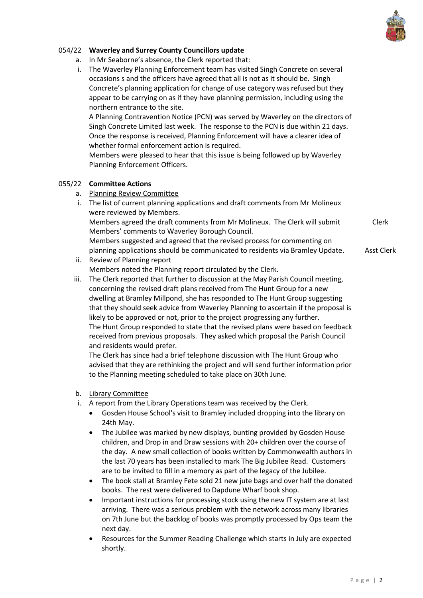

# 054/22 **Waverley and Surrey County Councillors update**

a. In Mr Seaborne's absence, the Clerk reported that:

i. The Waverley Planning Enforcement team has visited Singh Concrete on several occasions s and the officers have agreed that all is not as it should be. Singh Concrete's planning application for change of use category was refused but they appear to be carrying on as if they have planning permission, including using the northern entrance to the site. A Planning Contravention Notice (PCN) was served by Waverley on the directors of Singh Concrete Limited last week. The response to the PCN is due within 21 days. Once the response is received, Planning Enforcement will have a clearer idea of whether formal enforcement action is required. Members were pleased to hear that this issue is being followed up by Waverley Planning Enforcement Officers. 055/22 **Committee Actions** a. Planning Review Committee i. The list of current planning applications and draft comments from Mr Molineux were reviewed by Members. Members agreed the draft comments from Mr Molineux. The Clerk will submit Members' comments to Waverley Borough Council. Members suggested and agreed that the revised process for commenting on planning applications should be communicated to residents via Bramley Update. Clerk Asst Clerk ii. Review of Planning report Members noted the Planning report circulated by the Clerk. iii. The Clerk reported that further to discussion at the May Parish Council meeting, concerning the revised draft plans received from The Hunt Group for a new dwelling at Bramley Millpond, she has responded to The Hunt Group suggesting that they should seek advice from Waverley Planning to ascertain if the proposal is likely to be approved or not, prior to the project progressing any further. The Hunt Group responded to state that the revised plans were based on feedback received from previous proposals. They asked which proposal the Parish Council and residents would prefer. The Clerk has since had a brief telephone discussion with The Hunt Group who advised that they are rethinking the project and will send further information prior to the Planning meeting scheduled to take place on 30th June. b. Library Committee i. A report from the Library Operations team was received by the Clerk. • Gosden House School's visit to Bramley included dropping into the library on 24th May. • The Jubilee was marked by new displays, bunting provided by Gosden House children, and Drop in and Draw sessions with 20+ children over the course of the day. A new small collection of books written by Commonwealth authors in the last 70 years has been installed to mark The Big Jubilee Read. Customers are to be invited to fill in a memory as part of the legacy of the Jubilee. • The book stall at Bramley Fete sold 21 new jute bags and over half the donated books. The rest were delivered to Dapdune Wharf book shop. • Important instructions for processing stock using the new IT system are at last arriving. There was a serious problem with the network across many libraries on 7th June but the backlog of books was promptly processed by Ops team the next day. • Resources for the Summer Reading Challenge which starts in July are expected shortly.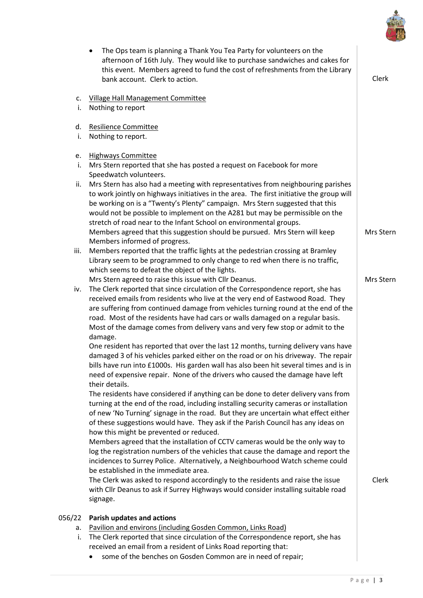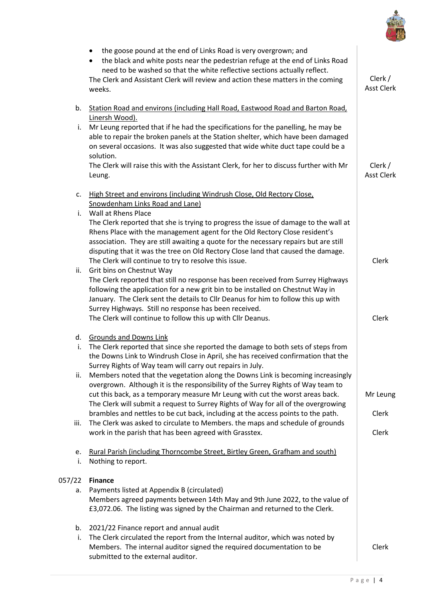

|              | the goose pound at the end of Links Road is very overgrown; and<br>٠<br>the black and white posts near the pedestrian refuge at the end of Links Road<br>need to be washed so that the white reflective sections actually reflect.<br>The Clerk and Assistant Clerk will review and action these matters in the coming<br>weeks.                                                                                                                                              | Clerk /<br><b>Asst Clerk</b> |
|--------------|-------------------------------------------------------------------------------------------------------------------------------------------------------------------------------------------------------------------------------------------------------------------------------------------------------------------------------------------------------------------------------------------------------------------------------------------------------------------------------|------------------------------|
| b.<br>i.     | Station Road and environs (including Hall Road, Eastwood Road and Barton Road,<br>Linersh Wood).<br>Mr Leung reported that if he had the specifications for the panelling, he may be<br>able to repair the broken panels at the Station shelter, which have been damaged<br>on several occasions. It was also suggested that wide white duct tape could be a<br>solution.<br>The Clerk will raise this with the Assistant Clerk, for her to discuss further with Mr<br>Leung. | Clerk /<br><b>Asst Clerk</b> |
| c.           | High Street and environs (including Windrush Close, Old Rectory Close,<br>Snowdenham Links Road and Lane)                                                                                                                                                                                                                                                                                                                                                                     |                              |
| i.           | Wall at Rhens Place<br>The Clerk reported that she is trying to progress the issue of damage to the wall at<br>Rhens Place with the management agent for the Old Rectory Close resident's<br>association. They are still awaiting a quote for the necessary repairs but are still<br>disputing that it was the tree on Old Rectory Close land that caused the damage.<br>The Clerk will continue to try to resolve this issue.                                                | Clerk                        |
| ii.          | Grit bins on Chestnut Way<br>The Clerk reported that still no response has been received from Surrey Highways<br>following the application for a new grit bin to be installed on Chestnut Way in<br>January. The Clerk sent the details to Cllr Deanus for him to follow this up with<br>Surrey Highways. Still no response has been received.<br>The Clerk will continue to follow this up with Cllr Deanus.                                                                 | Clerk                        |
| d.<br>i.     | <b>Grounds and Downs Link</b><br>The Clerk reported that since she reported the damage to both sets of steps from<br>the Downs Link to Windrush Close in April, she has received confirmation that the                                                                                                                                                                                                                                                                        |                              |
| ii.          | Surrey Rights of Way team will carry out repairs in July.<br>Members noted that the vegetation along the Downs Link is becoming increasingly<br>overgrown. Although it is the responsibility of the Surrey Rights of Way team to<br>cut this back, as a temporary measure Mr Leung with cut the worst areas back.<br>The Clerk will submit a request to Surrey Rights of Way for all of the overgrowing                                                                       | Mr Leung                     |
| iii.         | brambles and nettles to be cut back, including at the access points to the path.<br>The Clerk was asked to circulate to Members. the maps and schedule of grounds<br>work in the parish that has been agreed with Grasstex.                                                                                                                                                                                                                                                   | Clerk<br>Clerk               |
| e.<br>i.     | Rural Parish (including Thorncombe Street, Birtley Green, Grafham and south)<br>Nothing to report.                                                                                                                                                                                                                                                                                                                                                                            |                              |
| 057/22<br>a. | <b>Finance</b><br>Payments listed at Appendix B (circulated)<br>Members agreed payments between 14th May and 9th June 2022, to the value of<br>£3,072.06. The listing was signed by the Chairman and returned to the Clerk.                                                                                                                                                                                                                                                   |                              |
| b.<br>i.     | 2021/22 Finance report and annual audit<br>The Clerk circulated the report from the Internal auditor, which was noted by<br>Members. The internal auditor signed the required documentation to be<br>submitted to the external auditor.                                                                                                                                                                                                                                       | Clerk                        |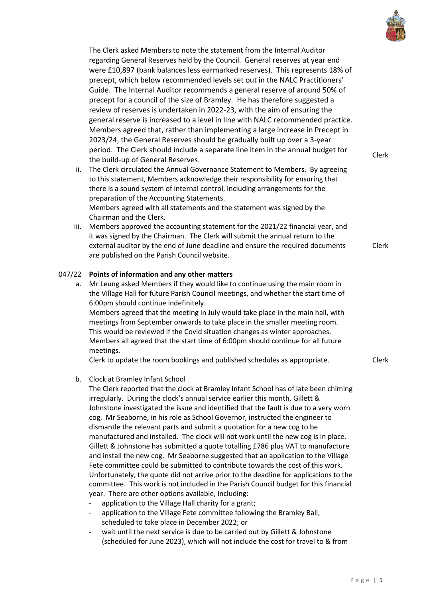

The Clerk asked Members to note the statement from the Internal Auditor regarding General Reserves held by the Council. General reserves at year end were £10,897 (bank balances less earmarked reserves). This represents 18% of precept, which below recommended levels set out in the NALC Practitioners' Guide. The Internal Auditor recommends a general reserve of around 50% of precept for a council of the size of Bramley. He has therefore suggested a review of reserves is undertaken in 2022-23, with the aim of ensuring the general reserve is increased to a level in line with NALC recommended practice. Members agreed that, rather than implementing a large increase in Precept in 2023/24, the General Reserves should be gradually built up over a 3-year period. The Clerk should include a separate line item in the annual budget for performance in the build-up of General Reserves.<br>the build-up of General Reserves.

- ii. The Clerk circulated the Annual Governance Statement to Members. By agreeing to this statement, Members acknowledge their responsibility for ensuring that there is a sound system of internal control, including arrangements for the preparation of the Accounting Statements. Members agreed with all statements and the statement was signed by the
- Chairman and the Clerk. iii. Members approved the accounting statement for the 2021/22 financial year, and it was signed by the Chairman. The Clerk will submit the annual return to the external auditor by the end of June deadline and ensure the required documents are published on the Parish Council website.

# 047/22 **Points of information and any other matters**

- a. Mr Leung asked Members if they would like to continue using the main room in the Village Hall for future Parish Council meetings, and whether the start time of 6:00pm should continue indefinitely. Members agreed that the meeting in July would take place in the main hall, with meetings from September onwards to take place in the smaller meeting room. This would be reviewed if the Covid situation changes as winter approaches. Members all agreed that the start time of 6:00pm should continue for all future meetings. Clerk to update the room bookings and published schedules as appropriate. Clerk
- b. Clock at Bramley Infant School

The Clerk reported that the clock at Bramley Infant School has of late been chiming irregularly. During the clock's annual service earlier this month, Gillett & Johnstone investigated the issue and identified that the fault is due to a very worn cog. Mr Seaborne, in his role as School Governor, instructed the engineer to dismantle the relevant parts and submit a quotation for a new cog to be manufactured and installed. The clock will not work until the new cog is in place. Gillett & Johnstone has submitted a quote totalling £786 plus VAT to manufacture and install the new cog. Mr Seaborne suggested that an application to the Village Fete committee could be submitted to contribute towards the cost of this work. Unfortunately, the quote did not arrive prior to the deadline for applications to the committee. This work is not included in the Parish Council budget for this financial year. There are other options available, including:

- application to the Village Hall charity for a grant;
- application to the Village Fete committee following the Bramley Ball, scheduled to take place in December 2022; or
- wait until the next service is due to be carried out by Gillett & Johnstone (scheduled for June 2023), which will not include the cost for travel to & from

Clerk